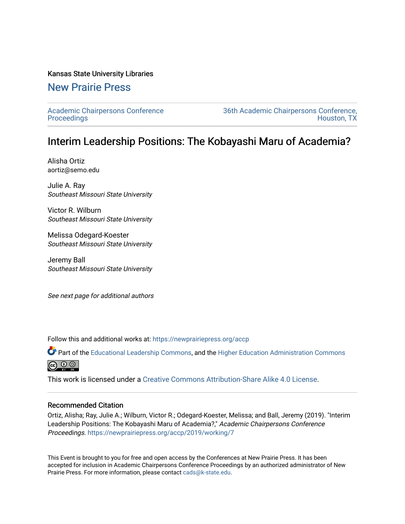## Kansas State University Libraries

# [New Prairie Press](https://newprairiepress.org/)

[Academic Chairpersons Conference](https://newprairiepress.org/accp)  **Proceedings** 

[36th Academic Chairpersons Conference,](https://newprairiepress.org/accp/2019)  [Houston, TX](https://newprairiepress.org/accp/2019) 

# Interim Leadership Positions: The Kobayashi Maru of Academia?

Alisha Ortiz aortiz@semo.edu

Julie A. Ray Southeast Missouri State University

Victor R. Wilburn Southeast Missouri State University

Melissa Odegard-Koester Southeast Missouri State University

Jeremy Ball Southeast Missouri State University

See next page for additional authors

Follow this and additional works at: [https://newprairiepress.org/accp](https://newprairiepress.org/accp?utm_source=newprairiepress.org%2Faccp%2F2019%2Fworking%2F7&utm_medium=PDF&utm_campaign=PDFCoverPages) 

Part of the [Educational Leadership Commons,](http://network.bepress.com/hgg/discipline/1230?utm_source=newprairiepress.org%2Faccp%2F2019%2Fworking%2F7&utm_medium=PDF&utm_campaign=PDFCoverPages) and the [Higher Education Administration Commons](http://network.bepress.com/hgg/discipline/791?utm_source=newprairiepress.org%2Faccp%2F2019%2Fworking%2F7&utm_medium=PDF&utm_campaign=PDFCoverPages) ெ 0 ©

This work is licensed under a [Creative Commons Attribution-Share Alike 4.0 License.](https://creativecommons.org/licenses/by-sa/4.0/)

## Recommended Citation

Ortiz, Alisha; Ray, Julie A.; Wilburn, Victor R.; Odegard-Koester, Melissa; and Ball, Jeremy (2019). "Interim Leadership Positions: The Kobayashi Maru of Academia?," Academic Chairpersons Conference Proceedings. <https://newprairiepress.org/accp/2019/working/7>

This Event is brought to you for free and open access by the Conferences at New Prairie Press. It has been accepted for inclusion in Academic Chairpersons Conference Proceedings by an authorized administrator of New Prairie Press. For more information, please contact [cads@k-state.edu.](mailto:cads@k-state.edu)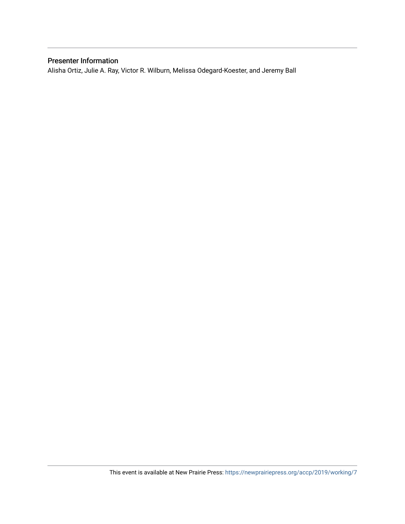# Presenter Information

Alisha Ortiz, Julie A. Ray, Victor R. Wilburn, Melissa Odegard-Koester, and Jeremy Ball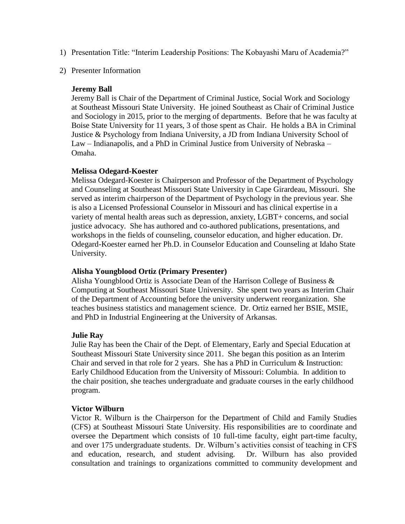- 1) Presentation Title: "Interim Leadership Positions: The Kobayashi Maru of Academia?"
- 2) Presenter Information

# **Jeremy Ball**

Jeremy Ball is Chair of the Department of Criminal Justice, Social Work and Sociology at Southeast Missouri State University. He joined Southeast as Chair of Criminal Justice and Sociology in 2015, prior to the merging of departments. Before that he was faculty at Boise State University for 11 years, 3 of those spent as Chair. He holds a BA in Criminal Justice & Psychology from Indiana University, a JD from Indiana University School of Law – Indianapolis, and a PhD in Criminal Justice from University of Nebraska – Omaha.

# **Melissa Odegard-Koester**

Melissa Odegard-Koester is Chairperson and Professor of the Department of Psychology and Counseling at Southeast Missouri State University in Cape Girardeau, Missouri. She served as interim chairperson of the Department of Psychology in the previous year. She is also a Licensed Professional Counselor in Missouri and has clinical expertise in a variety of mental health areas such as depression, anxiety, LGBT+ concerns, and social justice advocacy. She has authored and co-authored publications, presentations, and workshops in the fields of counseling, counselor education, and higher education. Dr. Odegard-Koester earned her Ph.D. in Counselor Education and Counseling at Idaho State University.

## **Alisha Youngblood Ortiz (Primary Presenter)**

Alisha Youngblood Ortiz is Associate Dean of the Harrison College of Business & Computing at Southeast Missouri State University. She spent two years as Interim Chair of the Department of Accounting before the university underwent reorganization. She teaches business statistics and management science. Dr. Ortiz earned her BSIE, MSIE, and PhD in Industrial Engineering at the University of Arkansas.

## **Julie Ray**

Julie Ray has been the Chair of the Dept. of Elementary, Early and Special Education at Southeast Missouri State University since 2011. She began this position as an Interim Chair and served in that role for 2 years. She has a PhD in Curriculum & Instruction: Early Childhood Education from the University of Missouri: Columbia. In addition to the chair position, she teaches undergraduate and graduate courses in the early childhood program.

## **Victor Wilburn**

Victor R. Wilburn is the Chairperson for the Department of Child and Family Studies (CFS) at Southeast Missouri State University. His responsibilities are to coordinate and oversee the Department which consists of 10 full-time faculty, eight part-time faculty, and over 175 undergraduate students. Dr. Wilburn's activities consist of teaching in CFS and education, research, and student advising. Dr. Wilburn has also provided consultation and trainings to organizations committed to community development and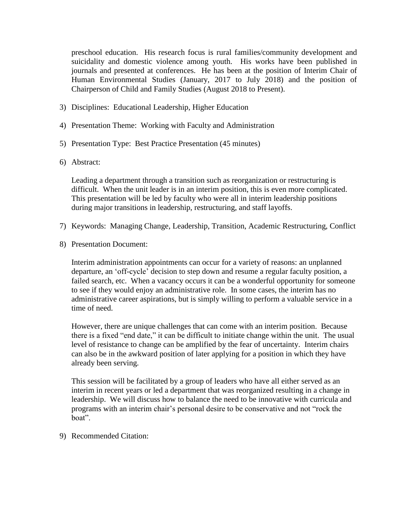preschool education. His research focus is rural families/community development and suicidality and domestic violence among youth. His works have been published in journals and presented at conferences. He has been at the position of Interim Chair of Human Environmental Studies (January, 2017 to July 2018) and the position of Chairperson of Child and Family Studies (August 2018 to Present).

- 3) Disciplines: Educational Leadership, Higher Education
- 4) Presentation Theme: Working with Faculty and Administration
- 5) Presentation Type: Best Practice Presentation (45 minutes)
- 6) Abstract:

Leading a department through a transition such as reorganization or restructuring is difficult. When the unit leader is in an interim position, this is even more complicated. This presentation will be led by faculty who were all in interim leadership positions during major transitions in leadership, restructuring, and staff layoffs.

- 7) Keywords: Managing Change, Leadership, Transition, Academic Restructuring, Conflict
- 8) Presentation Document:

Interim administration appointments can occur for a variety of reasons: an unplanned departure, an 'off-cycle' decision to step down and resume a regular faculty position, a failed search, etc. When a vacancy occurs it can be a wonderful opportunity for someone to see if they would enjoy an administrative role. In some cases, the interim has no administrative career aspirations, but is simply willing to perform a valuable service in a time of need.

However, there are unique challenges that can come with an interim position. Because there is a fixed "end date," it can be difficult to initiate change within the unit. The usual level of resistance to change can be amplified by the fear of uncertainty. Interim chairs can also be in the awkward position of later applying for a position in which they have already been serving.

This session will be facilitated by a group of leaders who have all either served as an interim in recent years or led a department that was reorganized resulting in a change in leadership. We will discuss how to balance the need to be innovative with curricula and programs with an interim chair's personal desire to be conservative and not "rock the boat".

9) Recommended Citation: